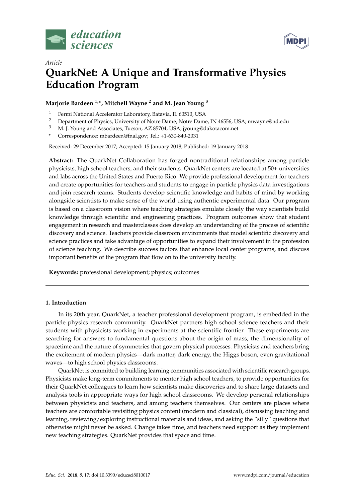



# *Article* **QuarkNet: A Unique and Transformative Physics Education Program**

## **Marjorie Bardeen 1,\*, Mitchell Wayne <sup>2</sup> and M. Jean Young <sup>3</sup>**

- <sup>1</sup> Fermi National Accelerator Laboratory, Batavia, IL 60510, USA<br><sup>2</sup> Department of Physics University of Notre Dame Notre Dame
- <sup>2</sup> Department of Physics, University of Notre Dame, Notre Dame, IN 46556, USA; mwayne@nd.edu<br><sup>3</sup> M. J. Young and Associates. Tuggen, A.Z. 85704, USA: ivour c@dakatasem not
- <sup>3</sup> M. J. Young and Associates, Tucson, AZ 85704, USA; jyoung@dakotacom.net
- **\*** Correspondence: mbardeen@fnal.gov; Tel.: +1-630-840-2031

Received: 29 December 2017; Accepted: 15 January 2018; Published: 19 January 2018

**Abstract:** The QuarkNet Collaboration has forged nontraditional relationships among particle physicists, high school teachers, and their students. QuarkNet centers are located at 50+ universities and labs across the United States and Puerto Rico. We provide professional development for teachers and create opportunities for teachers and students to engage in particle physics data investigations and join research teams. Students develop scientific knowledge and habits of mind by working alongside scientists to make sense of the world using authentic experimental data. Our program is based on a classroom vision where teaching strategies emulate closely the way scientists build knowledge through scientific and engineering practices. Program outcomes show that student engagement in research and masterclasses does develop an understanding of the process of scientific discovery and science. Teachers provide classroom environments that model scientific discovery and science practices and take advantage of opportunities to expand their involvement in the profession of science teaching. We describe success factors that enhance local center programs, and discuss important benefits of the program that flow on to the university faculty.

**Keywords:** professional development; physics; outcomes

## **1. Introduction**

In its 20th year, QuarkNet, a teacher professional development program, is embedded in the particle physics research community. QuarkNet partners high school science teachers and their students with physicists working in experiments at the scientific frontier. These experiments are searching for answers to fundamental questions about the origin of mass, the dimensionality of spacetime and the nature of symmetries that govern physical processes. Physicists and teachers bring the excitement of modern physics—dark matter, dark energy, the Higgs boson, even gravitational waves—to high school physics classrooms.

QuarkNet is committed to building learning communities associated with scientific research groups. Physicists make long-term commitments to mentor high school teachers, to provide opportunities for their QuarkNet colleagues to learn how scientists make discoveries and to share large datasets and analysis tools in appropriate ways for high school classrooms. We develop personal relationships between physicists and teachers, and among teachers themselves. Our centers are places where teachers are comfortable revisiting physics content (modern and classical), discussing teaching and learning, reviewing/exploring instructional materials and ideas, and asking the "silly" questions that otherwise might never be asked. Change takes time, and teachers need support as they implement new teaching strategies. QuarkNet provides that space and time.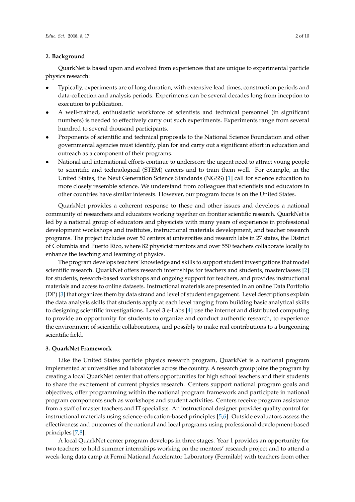## **2. Background**

QuarkNet is based upon and evolved from experiences that are unique to experimental particle physics research:

- Typically, experiments are of long duration, with extensive lead times, construction periods and data-collection and analysis periods. Experiments can be several decades long from inception to execution to publication.
- A well-trained, enthusiastic workforce of scientists and technical personnel (in significant numbers) is needed to effectively carry out such experiments. Experiments range from several hundred to several thousand participants.
- Proponents of scientific and technical proposals to the National Science Foundation and other governmental agencies must identify, plan for and carry out a significant effort in education and outreach as a component of their programs.
- National and international efforts continue to underscore the urgent need to attract young people to scientific and technological (STEM) careers and to train them well. For example, in the United States, the Next Generation Science Standards (NGSS) [\[1\]](#page-8-0) call for science education to more closely resemble science. We understand from colleagues that scientists and educators in other countries have similar interests. However, our program focus is on the United States.

QuarkNet provides a coherent response to these and other issues and develops a national community of researchers and educators working together on frontier scientific research. QuarkNet is led by a national group of educators and physicists with many years of experience in professional development workshops and institutes, instructional materials development, and teacher research programs. The project includes over 50 centers at universities and research labs in 27 states, the District of Columbia and Puerto Rico, where 82 physicist mentors and over 550 teachers collaborate locally to enhance the teaching and learning of physics.

The program develops teachers' knowledge and skills to support student investigations that model scientific research. QuarkNet offers research internships for teachers and students, masterclasses [\[2\]](#page-8-1) for students, research-based workshops and ongoing support for teachers, and provides instructional materials and access to online datasets. Instructional materials are presented in an online Data Portfolio (DP) [\[3\]](#page-8-2) that organizes them by data strand and level of student engagement. Level descriptions explain the data analysis skills that students apply at each level ranging from building basic analytical skills to designing scientific investigations. Level 3 e-Labs [\[4\]](#page-8-3) use the internet and distributed computing to provide an opportunity for students to organize and conduct authentic research, to experience the environment of scientific collaborations, and possibly to make real contributions to a burgeoning scientific field.

## **3. QuarkNet Framework**

Like the United States particle physics research program, QuarkNet is a national program implemented at universities and laboratories across the country. A research group joins the program by creating a local QuarkNet center that offers opportunities for high school teachers and their students to share the excitement of current physics research. Centers support national program goals and objectives, offer programming within the national program framework and participate in national program components such as workshops and student activities. Centers receive program assistance from a staff of master teachers and IT specialists. An instructional designer provides quality control for instructional materials using science-education-based principles [\[5](#page-9-0)[,6\]](#page-9-1). Outside evaluators assess the effectiveness and outcomes of the national and local programs using professional-development-based principles [\[7](#page-9-2)[,8\]](#page-9-3).

A local QuarkNet center program develops in three stages. Year 1 provides an opportunity for two teachers to hold summer internships working on the mentors' research project and to attend a week-long data camp at Fermi National Accelerator Laboratory (Fermilab) with teachers from other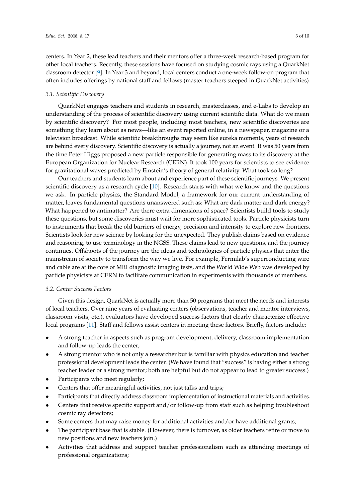centers. In Year 2, these lead teachers and their mentors offer a three-week research-based program for other local teachers. Recently, these sessions have focused on studying cosmic rays using a QuarkNet classroom detector [\[9\]](#page-9-4). In Year 3 and beyond, local centers conduct a one-week follow-on program that often includes offerings by national staff and fellows (master teachers steeped in QuarkNet activities).

## *3.1. Scientific Discovery*

QuarkNet engages teachers and students in research, masterclasses, and e-Labs to develop an understanding of the process of scientific discovery using current scientific data. What do we mean by scientific discovery? For most people, including most teachers, new scientific discoveries are something they learn about as news—like an event reported online, in a newspaper, magazine or a television broadcast. While scientific breakthroughs may seem like eureka moments, years of research are behind every discovery. Scientific discovery is actually a journey, not an event. It was 50 years from the time Peter Higgs proposed a new particle responsible for generating mass to its discovery at the European Organization for Nuclear Research (CERN). It took 100 years for scientists to see evidence for gravitational waves predicted by Einstein's theory of general relativity. What took so long?

Our teachers and students learn about and experience part of these scientific journeys. We present scientific discovery as a research cycle [\[10\]](#page-9-5). Research starts with what we know and the questions we ask. In particle physics, the Standard Model, a framework for our current understanding of matter, leaves fundamental questions unanswered such as: What are dark matter and dark energy? What happened to antimatter? Are there extra dimensions of space? Scientists build tools to study these questions, but some discoveries must wait for more sophisticated tools. Particle physicists turn to instruments that break the old barriers of energy, precision and intensity to explore new frontiers. Scientists look for new science by looking for the unexpected. They publish claims based on evidence and reasoning, to use terminology in the NGSS. These claims lead to new questions, and the journey continues. Offshoots of the journey are the ideas and technologies of particle physics that enter the mainstream of society to transform the way we live. For example, Fermilab's superconducting wire and cable are at the core of MRI diagnostic imaging tests, and the World Wide Web was developed by particle physicists at CERN to facilitate communication in experiments with thousands of members.

## *3.2. Center Success Factors*

Given this design, QuarkNet is actually more than 50 programs that meet the needs and interests of local teachers. Over nine years of evaluating centers (observations, teacher and mentor interviews, classroom visits, etc.), evaluators have developed success factors that clearly characterize effective local programs [\[11\]](#page-9-6). Staff and fellows assist centers in meeting these factors. Briefly, factors include:

- A strong teacher in aspects such as program development, delivery, classroom implementation and follow-up leads the center;
- A strong mentor who is not only a researcher but is familiar with physics education and teacher professional development leads the center. (We have found that "success" is having either a strong teacher leader or a strong mentor; both are helpful but do not appear to lead to greater success.)
- Participants who meet regularly;
- Centers that offer meaningful activities, not just talks and trips;
- Participants that directly address classroom implementation of instructional materials and activities.
- Centers that receive specific support and/or follow-up from staff such as helping troubleshoot cosmic ray detectors;
- Some centers that may raise money for additional activities and/or have additional grants;
- The participant base that is stable. (However, there is turnover, as older teachers retire or move to new positions and new teachers join.)
- Activities that address and support teacher professionalism such as attending meetings of professional organizations;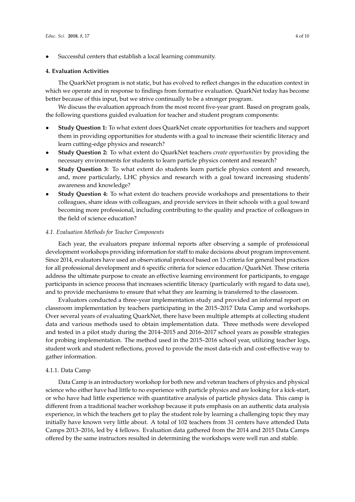Successful centers that establish a local learning community.

#### **4. Evaluation Activities**

The QuarkNet program is not static, but has evolved to reflect changes in the education context in which we operate and in response to findings from formative evaluation. QuarkNet today has become better because of this input, but we strive continually to be a stronger program.

We discuss the evaluation approach from the most recent five-year grant. Based on program goals, the following questions guided evaluation for teacher and student program components:

- **Study Question 1:** To what extent does QuarkNet create opportunities for teachers and support them in providing opportunities for students with a goal to increase their scientific literacy and learn cutting-edge physics and research?
- **Study Question 2:** To what extent do QuarkNet teachers *create opportunities* by providing the necessary environments for students to learn particle physics content and research?
- **Study Question 3:** To what extent do students learn particle physics content and research, and, more particularly, LHC physics and research with a goal toward increasing students' awareness and knowledge?
- **Study Question 4:** To what extent do teachers provide workshops and presentations to their colleagues, share ideas with colleagues, and provide services in their schools with a goal toward becoming more professional, including contributing to the quality and practice of colleagues in the field of science education?

#### *4.1. Evaluation Methods for Teacher Components*

Each year, the evaluators prepare informal reports after observing a sample of professional development workshops providing information for staff to make decisions about program improvement. Since 2014, evaluators have used an observational protocol based on 13 criteria for general best practices for all professional development and 6 specific criteria for science education/QuarkNet. These criteria address the ultimate purpose to create an effective learning environment for participants, to engage participants in science process that increases scientific literacy (particularly with regard to data use), and to provide mechanisms to ensure that what they are learning is transferred to the classroom.

Evaluators conducted a three-year implementation study and provided an informal report on classroom implementation by teachers participating in the 2015–2017 Data Camp and workshops. Over several years of evaluating QuarkNet, there have been multiple attempts at collecting student data and various methods used to obtain implementation data. Three methods were developed and tested in a pilot study during the 2014–2015 and 2016–2017 school years as possible strategies for probing implementation. The method used in the 2015–2016 school year, utilizing teacher logs, student work and student reflections, proved to provide the most data-rich and cost-effective way to gather information.

## 4.1.1. Data Camp

Data Camp is an introductory workshop for both new and veteran teachers of physics and physical science who either have had little to no experience with particle physics and are looking for a kick-start, or who have had little experience with quantitative analysis of particle physics data. This camp is different from a traditional teacher workshop because it puts emphasis on an authentic data analysis experience, in which the teachers get to play the student role by learning a challenging topic they may initially have known very little about. A total of 102 teachers from 31 centers have attended Data Camps 2013–2016, led by 4 fellows. Evaluation data gathered from the 2014 and 2015 Data Camps offered by the same instructors resulted in determining the workshops were well run and stable.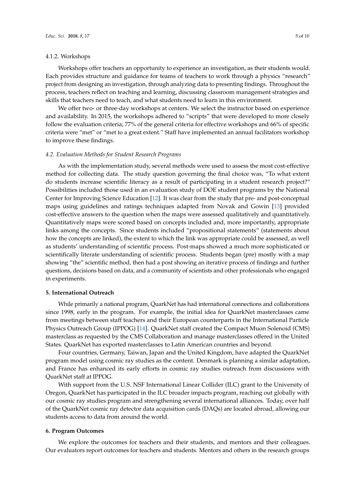#### 4.1.2. Workshops

Workshops offer teachers an opportunity to experience an investigation, as their students would. Each provides structure and guidance for teams of teachers to work through a physics "research" project from designing an investigation, through analyzing data to presenting findings. Throughout the process, teachers reflect on teaching and learning, discussing classroom management strategies and skills that teachers need to teach, and what students need to learn in this environment.

We offer two- or three-day workshops at centers. We select the instructor based on experience and availability. In 2015, the workshops adhered to "scripts" that were developed to more closely follow the evaluation criteria; 77% of the general criteria for effective workshops and 66% of specific criteria were "met" or "met to a great extent." Staff have implemented an annual facilitators workshop to improve these findings.

#### *4.2. Evaluation Methods for Student Research Programs*

As with the implementation study, several methods were used to assess the most cost-effective method for collecting data. The study question governing the final choice was, "To what extent do students increase scientific literacy as a result of participating in a student research project?" Possibilities included those used in an evaluation study of DOE student programs by the National Center for Improving Science Education [\[12\]](#page-9-7). It was clear from the study that pre- and post-conceptual maps using guidelines and ratings techniques adapted from Novak and Gowin [\[13\]](#page-9-8) provided cost-effective answers to the question when the maps were assessed qualitatively and quantitatively. Quantitatively maps were scored based on concepts included and, more importantly, appropriate links among the concepts. Since students included "propositional statements" (statements about how the concepts are linked), the extent to which the link was appropriate could be assessed, as well as students' understanding of scientific process. Post-maps showed a much more sophisticated or scientifically literate understanding of scientific process. Students began (pre) mostly with a map showing "the" scientific method, then had a post showing an iterative process of findings and further questions, decisions based on data, and a community of scientists and other professionals who engaged in experiments.

#### **5. International Outreach**

While primarily a national program, QuarkNet has had international connections and collaborations since 1998, early in the program. For example, the initial idea for QuarkNet masterclasses came from meetings between staff teachers and their European counterparts in the International Particle Physics Outreach Group (IPPOG) [\[14\]](#page-9-9). QuarkNet staff created the Compact Muon Solenoid (CMS) masterclass as requested by the CMS Collaboration and manage masterclasses offered in the United States. QuarkNet has exported masterclasses to Latin American countries and beyond.

Four countries, Germany, Taiwan, Japan and the United Kingdom, have adapted the QuarkNet program model using cosmic ray studies as the content. Denmark is planning a similar adaptation, and France has enhanced its early efforts in cosmic ray studies outreach from discussions with QuarkNet staff at IPPOG.

With support from the U.S. NSF International Linear Collider (ILC) grant to the University of Oregon, QuarkNet has participated in the ILC broader impacts program, reaching out globally with our cosmic ray studies program and strengthening several international alliances. Today, over half of the QuarkNet cosmic ray detector data acquisition cards (DAQs) are located abroad, allowing our students access to data from around the world.

#### **6. Program Outcomes**

We explore the outcomes for teachers and their students, and mentors and their colleagues. Our evaluators report outcomes for teachers and students. Mentors and others in the research groups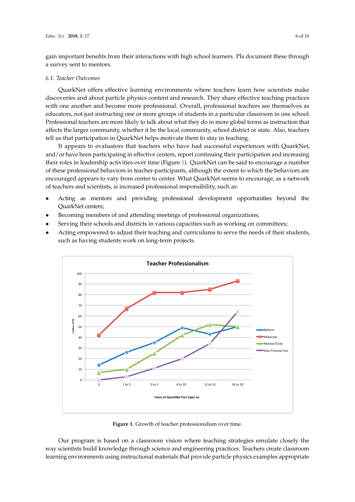gain important benefits from their interactions with high school learners. PIs document these through important benefits from their interactions with high school learners. PIs document these through a a survey sent to mentors. survey sent to mentors.

## *6.1. Teacher Outcomes 6.1. Teacher Outcomes*

QuarkNet offers effective learning environments where teachers learn how scientists make QuarkNet offers effective learning environments where teachers learn how scientists make discoveries and about particle physics content and research. They share effective teaching practices discoveries and about particle physics content and research. They share effective teaching practices with one another and become more professional. Overall, professional teachers see themselves as with one another and become more professional. Overall, professional teachers see themselves as educators, not just instructing one or more groups of students in a particular classroom in one school.<br>Particular classroom in one school. Professional teachers are more likely to talk about what they do in more global terms as instruction that Professional teachers are more likely to talk about what they do in more global terms as instruction affects the larger community, whether it be the local community, school district or state. Also, teachers and the local community, school district or state. Also, teachers tell us that participation in QuarkNet helps motivate them to stay in teaching. teachers tell us that participation in QuarkNet helps motivate them to stay in teaching.

It appears to evaluators that teachers who have had successful experiences with QuarkNet, It appears to evaluators that teachers who have had successful experiences with QuarkNet, and/or have been participating in effective centers, report continuing their participation and increasing and/or have been participating in effective centers, report continuing their participation and their roles in leadership activities over time (Figure [1\)](#page-5-0). QuarkNet can be said to encourage a number<br>in leadership activities over time (Figure 1). QuarkNet can be said to encourage a number of these professional behaviors in teacher-participants, although the extent to which the behaviors are encouraged appears to vary from center to center. What QuarkNet seems to encourage, as a network of teachers and scientists, is increased professional responsibility, such as:

- Acting as mentors and providing professional development opportunities beyond the QuarkNet centers; QuarkNet centers;
- Becoming members of and attending meetings of professional organizations; Becoming members of and attending meetings of professional organizations;
- Serving their schools and districts in various capacities such as working on committees; Serving their schools and districts in various capacities such as working on committees;
- Acting empowered to adjust their teaching and curriculums to serve the needs of their students, Acting empowered to adjust their teaching and curriculums to serve the needs of their students, such as having students work on long-term projects. such as having students work on long-term projects.

<span id="page-5-0"></span>

**Figure 1.** Growth of teacher professionalism over time. **Figure 1.** Growth of teacher professionalism over time.

Our program is based on a classroom vision where teaching strategies emulate closely the scientists build knowledge through science and engineering practices. Teachers create classroom way scientists build knowledge through science and engineering practices. Teachers create classroom learning environments using instructional materials that provide particle physics examples learning environments using instructional materials that provide particle physics examples appropriate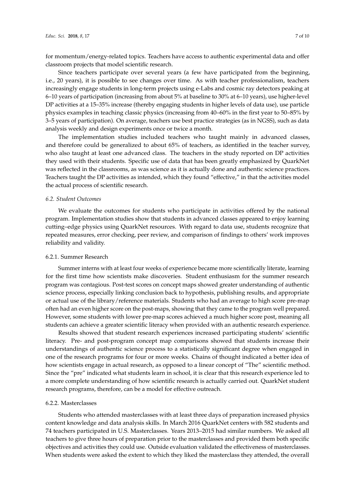for momentum/energy-related topics. Teachers have access to authentic experimental data and offer classroom projects that model scientific research.

Since teachers participate over several years (a few have participated from the beginning, i.e., 20 years), it is possible to see changes over time. As with teacher professionalism, teachers increasingly engage students in long-term projects using e-Labs and cosmic ray detectors peaking at 6–10 years of participation (increasing from about 5% at baseline to 30% at 6–10 years), use higher-level DP activities at a 15–35% increase (thereby engaging students in higher levels of data use), use particle physics examples in teaching classic physics (increasing from 40–60% in the first year to 50–85% by 3–5 years of participation). On average, teachers use best practice strategies (as in NGSS), such as data analysis weekly and design experiments once or twice a month.

The implementation studies included teachers who taught mainly in advanced classes, and therefore could be generalized to about 65% of teachers, as identified in the teacher survey, who also taught at least one advanced class. The teachers in the study reported on DP activities they used with their students. Specific use of data that has been greatly emphasized by QuarkNet was reflected in the classrooms, as was science as it is actually done and authentic science practices. Teachers taught the DP activities as intended, which they found "effective," in that the activities model the actual process of scientific research.

## *6.2. Student Outcomes*

We evaluate the outcomes for students who participate in activities offered by the national program. Implementation studies show that students in advanced classes appeared to enjoy learning cutting–edge physics using QuarkNet resources. With regard to data use, students recognize that repeated measures, error checking, peer review, and comparison of findings to others' work improves reliability and validity.

## 6.2.1. Summer Research

Summer interns with at least four weeks of experience became more scientifically literate, learning for the first time how scientists make discoveries. Student enthusiasm for the summer research program was contagious. Post-test scores on concept maps showed greater understanding of authentic science process, especially linking conclusion back to hypothesis, publishing results, and appropriate or actual use of the library/reference materials. Students who had an average to high score pre-map often had an even higher score on the post-maps, showing that they came to the program well prepared. However, some students with lower pre-map scores achieved a much higher score post, meaning all students can achieve a greater scientific literacy when provided with an authentic research experience.

Results showed that student research experiences increased participating students' scientific literacy. Pre- and post-program concept map comparisons showed that students increase their understandings of authentic science process to a statistically significant degree when engaged in one of the research programs for four or more weeks. Chains of thought indicated a better idea of how scientists engage in actual research, as opposed to a linear concept of "The" scientific method. Since the "pre" indicated what students learn in school, it is clear that this research experience led to a more complete understanding of how scientific research is actually carried out. QuarkNet student research programs, therefore, can be a model for effective outreach.

## 6.2.2. Masterclasses

Students who attended masterclasses with at least three days of preparation increased physics content knowledge and data analysis skills. In March 2016 QuarkNet centers with 582 students and 74 teachers participated in U.S. Masterclasses. Years 2013–2015 had similar numbers. We asked all teachers to give three hours of preparation prior to the masterclasses and provided them both specific objectives and activities they could use. Outside evaluation validated the effectiveness of masterclasses. When students were asked the extent to which they liked the masterclass they attended, the overall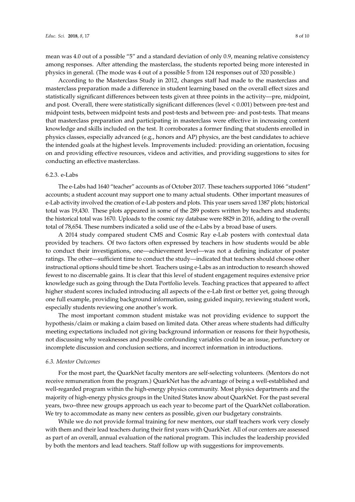mean was 4.0 out of a possible "5" and a standard deviation of only 0.9, meaning relative consistency among responses. After attending the masterclass, the students reported being more interested in physics in general. (The mode was 4 out of a possible 5 from 124 responses out of 320 possible.)

According to the Masterclass Study in 2012, changes staff had made to the masterclass and masterclass preparation made a difference in student learning based on the overall effect sizes and statistically significant differences between tests given at three points in the activity—pre, midpoint, and post. Overall, there were statistically significant differences (level < 0.001) between pre-test and midpoint tests, between midpoint tests and post-tests and between pre- and post-tests. That means that masterclass preparation and participating in masterclass were effective in increasing content knowledge and skills included on the test. It corroborates a former finding that students enrolled in physics classes, especially advanced (e.g., honors and AP) physics, are the best candidates to achieve the intended goals at the highest levels. Improvements included: providing an orientation, focusing on and providing effective resources, videos and activities, and providing suggestions to sites for conducting an effective masterclass.

#### 6.2.3. e-Labs

The e-Labs had 1640 "teacher" accounts as of October 2017. These teachers supported 1066 "student" accounts; a student account may support one to many actual students. Other important measures of e-Lab activity involved the creation of e-Lab posters and plots. This year users saved 1387 plots; historical total was 19,430. These plots appeared in some of the 289 posters written by teachers and students; the historical total was 1670. Uploads to the cosmic ray database were 8829 in 2016, adding to the overall total of 78,654. These numbers indicated a solid use of the e-Labs by a broad base of users.

A 2014 study compared student CMS and Cosmic Ray e-Lab posters with contextual data provided by teachers. Of two factors often expressed by teachers in how students would be able to conduct their investigations, one—achievement level—was not a defining indicator of poster ratings. The other—sufficient time to conduct the study—indicated that teachers should choose other instructional options should time be short. Teachers using e-Labs as an introduction to research showed fewest to no discernable gains. It is clear that this level of student engagement requires extensive prior knowledge such as going through the Data Portfolio levels. Teaching practices that appeared to affect higher student scores included introducing all aspects of the e-Lab first or better yet, going through one full example, providing background information, using guided inquiry, reviewing student work, especially students reviewing one another's work.

The most important common student mistake was not providing evidence to support the hypothesis/claim or making a claim based on limited data. Other areas where students had difficulty meeting expectations included not giving background information or reasons for their hypothesis, not discussing why weaknesses and possible confounding variables could be an issue, perfunctory or incomplete discussion and conclusion sections, and incorrect information in introductions.

#### *6.3. Mentor Outcomes*

For the most part, the QuarkNet faculty mentors are self-selecting volunteers. (Mentors do not receive remuneration from the program.) QuarkNet has the advantage of being a well-established and well-regarded program within the high-energy physics community. Most physics departments and the majority of high-energy physics groups in the United States know about QuarkNet. For the past several years, two–three new groups approach us each year to become part of the QuarkNet collaboration. We try to accommodate as many new centers as possible, given our budgetary constraints.

While we do not provide formal training for new mentors, our staff teachers work very closely with them and their lead teachers during their first years with QuarkNet. All of our centers are assessed as part of an overall, annual evaluation of the national program. This includes the leadership provided by both the mentors and lead teachers. Staff follow up with suggestions for improvements.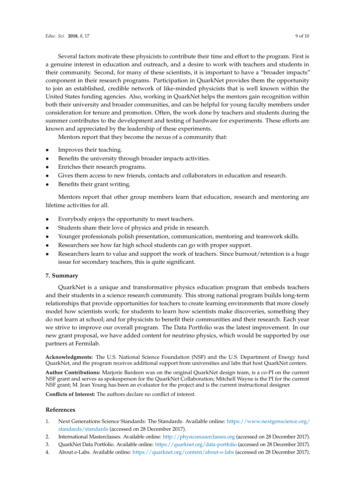Several factors motivate these physicists to contribute their time and effort to the program. First is a genuine interest in education and outreach, and a desire to work with teachers and students in their community. Second, for many of these scientists, it is important to have a "broader impacts" component in their research programs. Participation in QuarkNet provides them the opportunity to join an established, credible network of like-minded physicists that is well known within the United States funding agencies. Also, working in QuarkNet helps the mentors gain recognition within both their university and broader communities, and can be helpful for young faculty members under consideration for tenure and promotion. Often, the work done by teachers and students during the summer contributes to the development and testing of hardware for experiments. These efforts are known and appreciated by the leadership of these experiments.

Mentors report that they become the nexus of a community that:

- Improves their teaching.
- Benefits the university through broader impacts activities.
- Enriches their research programs.
- Gives them access to new friends, contacts and collaborators in education and research.
- Benefits their grant writing.

Mentors report that other group members learn that education, research and mentoring are lifetime activities for all.

- Everybody enjoys the opportunity to meet teachers.
- Students share their love of physics and pride in research.
- Younger professionals polish presentation, communication, mentoring and teamwork skills.
- Researchers see how far high school students can go with proper support.
- Researchers learn to value and support the work of teachers. Since burnout/retention is a huge issue for secondary teachers, this is quite significant.

## **7. Summary**

QuarkNet is a unique and transformative physics education program that embeds teachers and their students in a science research community. This strong national program builds long-term relationships that provide opportunities for teachers to create learning environments that more closely model how scientists work; for students to learn how scientists make discoveries, something they do not learn at school; and for physicists to benefit their communities and their research. Each year we strive to improve our overall program. The Data Portfolio was the latest improvement. In our new grant proposal, we have added content for neutrino physics, which would be supported by our partners at Fermilab.

**Acknowledgments:** The U.S. National Science Foundation (NSF) and the U.S. Department of Energy fund QuarkNet, and the program receives additional support from universities and labs that host QuarkNet centers.

**Author Contributions:** Marjorie Bardeen was on the original QuarkNet design team, is a co-PI on the current NSF grant and serves as spokesperson for the QuarkNet Collaboration; Mitchell Wayne is the PI for the current NSF grant; M. Jean Young has been an evaluator for the project and is the current instructional designer.

**Conflicts of Interest:** The authors declare no conflict of interest.

## **References**

- <span id="page-8-0"></span>1. Next Generations Science Standards: The Standards. Available online: [https://www.nextgenscience.org/](https://www.nextgenscience.org/standards/standards) [standards/standards](https://www.nextgenscience.org/standards/standards) (accessed on 28 December 2017).
- <span id="page-8-1"></span>2. International Masterclasses. Available online: <http://physicsmaserclasses.org> (accessed on 28 December 2017).
- <span id="page-8-2"></span>3. QuarkNet Data Portfolio. Available online: <https://quarknet.org/data-portfolio> (accessed on 28 December 2017).
- <span id="page-8-3"></span>4. About e-Labs. Available online: <https://quarknet.org/content/about-e-labs> (accessed on 28 December 2017).